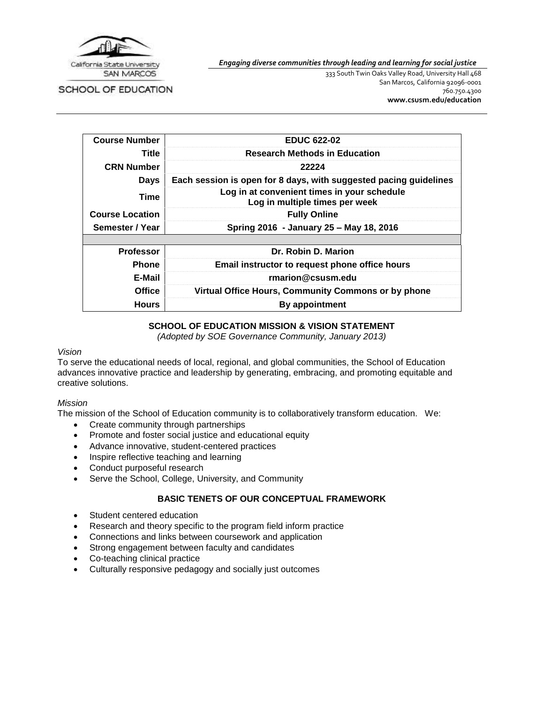

*Engaging diverse communities through leading and learning for social justice*

SCHOOL OF EDUCATION

333 South Twin Oaks Valley Road, University Hall 468 San Marcos, California 92096-0001 760.750.4300 **[www.csusm.edu/education](http://www.csusm.edu/education)**

| <b>Course Number</b>   | <b>EDUC 622-02</b>                                                            |  |
|------------------------|-------------------------------------------------------------------------------|--|
| Title                  | <b>Research Methods in Education</b>                                          |  |
| <b>CRN Number</b>      | 22224                                                                         |  |
| <b>Days</b>            | Each session is open for 8 days, with suggested pacing guidelines             |  |
| Time                   | Log in at convenient times in your schedule<br>Log in multiple times per week |  |
| <b>Course Location</b> | <b>Fully Online</b>                                                           |  |
| Semester / Year        | Spring 2016 - January 25 - May 18, 2016                                       |  |
|                        |                                                                               |  |
| <b>Professor</b>       | Dr. Robin D. Marion                                                           |  |
| Phone                  | Email instructor to request phone office hours                                |  |
| E-Mail                 | rmarion@csusm.edu                                                             |  |
| Office                 | Virtual Office Hours, Community Commons or by phone                           |  |
| <b>Hours</b>           | By appointment                                                                |  |

#### **SCHOOL OF EDUCATION MISSION & VISION STATEMENT**

*(Adopted by SOE Governance Community, January 2013)*

#### *Vision*

To serve the educational needs of local, regional, and global communities, the School of Education advances innovative practice and leadership by generating, embracing, and promoting equitable and creative solutions.

#### *Mission*

The mission of the School of Education community is to collaboratively transform education. We:

- Create community through partnerships
- Promote and foster social justice and educational equity
- Advance innovative, student-centered practices
- Inspire reflective teaching and learning
- Conduct purposeful research
- Serve the School, College, University, and Community

#### **BASIC TENETS OF OUR CONCEPTUAL FRAMEWORK**

- Student centered education
- Research and theory specific to the program field inform practice
- Connections and links between coursework and application
- Strong engagement between faculty and candidates
- Co-teaching clinical practice
- Culturally responsive pedagogy and socially just outcomes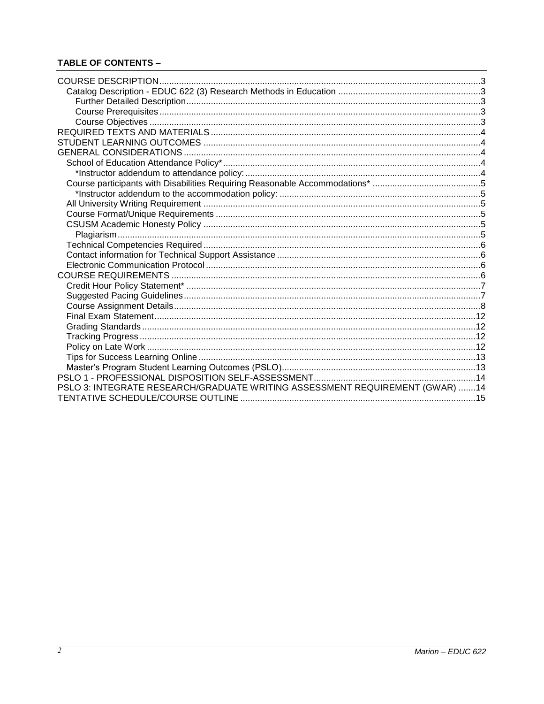# **TABLE OF CONTENTS -**

| <b>COURSE DESCRIPTION</b>                                                    |  |
|------------------------------------------------------------------------------|--|
|                                                                              |  |
|                                                                              |  |
|                                                                              |  |
|                                                                              |  |
|                                                                              |  |
|                                                                              |  |
|                                                                              |  |
|                                                                              |  |
|                                                                              |  |
|                                                                              |  |
|                                                                              |  |
|                                                                              |  |
|                                                                              |  |
|                                                                              |  |
|                                                                              |  |
|                                                                              |  |
|                                                                              |  |
|                                                                              |  |
|                                                                              |  |
|                                                                              |  |
|                                                                              |  |
|                                                                              |  |
|                                                                              |  |
|                                                                              |  |
|                                                                              |  |
|                                                                              |  |
|                                                                              |  |
|                                                                              |  |
|                                                                              |  |
| PSLO 3: INTEGRATE RESEARCH/GRADUATE WRITING ASSESSMENT REQUIREMENT (GWAR) 14 |  |
|                                                                              |  |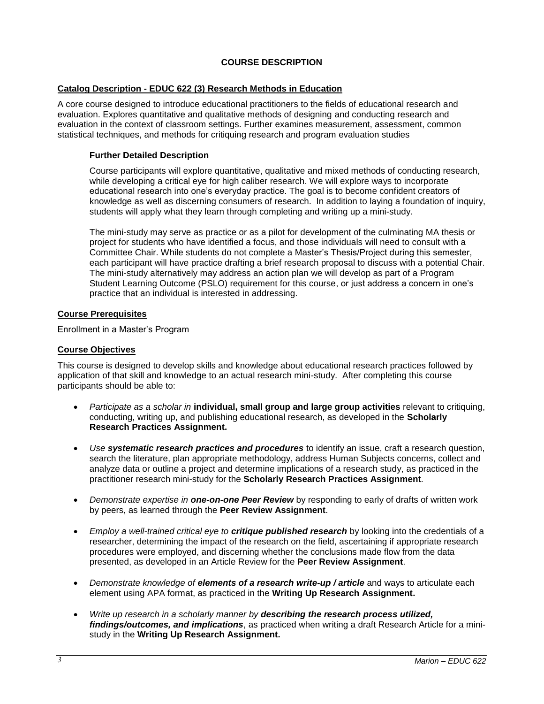### **COURSE DESCRIPTION**

### <span id="page-2-1"></span><span id="page-2-0"></span>**Catalog Description - EDUC 622 (3) Research Methods in Education**

A core course designed to introduce educational practitioners to the fields of educational research and evaluation. Explores quantitative and qualitative methods of designing and conducting research and evaluation in the context of classroom settings. Further examines measurement, assessment, common statistical techniques, and methods for critiquing research and program evaluation studies

#### <span id="page-2-2"></span>**Further Detailed Description**

Course participants will explore quantitative, qualitative and mixed methods of conducting research, while developing a critical eye for high caliber research. We will explore ways to incorporate educational research into one's everyday practice. The goal is to become confident creators of knowledge as well as discerning consumers of research. In addition to laying a foundation of inquiry, students will apply what they learn through completing and writing up a mini-study.

The mini-study may serve as practice or as a pilot for development of the culminating MA thesis or project for students who have identified a focus, and those individuals will need to consult with a Committee Chair. While students do not complete a Master's Thesis/Project during this semester, each participant will have practice drafting a brief research proposal to discuss with a potential Chair. The mini-study alternatively may address an action plan we will develop as part of a Program Student Learning Outcome (PSLO) requirement for this course, or just address a concern in one's practice that an individual is interested in addressing.

#### <span id="page-2-3"></span>**Course Prerequisites**

Enrollment in a Master's Program

#### <span id="page-2-4"></span>**Course Objectives**

This course is designed to develop skills and knowledge about educational research practices followed by application of that skill and knowledge to an actual research mini-study. After completing this course participants should be able to:

- *Participate as a scholar in* **individual, small group and large group activities** relevant to critiquing, conducting, writing up, and publishing educational research, as developed in the **Scholarly Research Practices Assignment.**
- *Use systematic research practices and procedures* to identify an issue, craft a research question, search the literature, plan appropriate methodology, address Human Subjects concerns, collect and analyze data or outline a project and determine implications of a research study, as practiced in the practitioner research mini-study for the **Scholarly Research Practices Assignment***.*
- *Demonstrate expertise in one-on-one Peer Review* by responding to early of drafts of written work by peers, as learned through the **Peer Review Assignment**.
- *Employ a well-trained critical eye to critique published research* by looking into the credentials of a researcher, determining the impact of the research on the field, ascertaining if appropriate research procedures were employed, and discerning whether the conclusions made flow from the data presented, as developed in an Article Review for the **Peer Review Assignment**.
- *Demonstrate knowledge of elements of a research write-up / article* and ways to articulate each element using APA format, as practiced in the **Writing Up Research Assignment.**
- *Write up research in a scholarly manner by describing the research process utilized, findings/outcomes, and implications*, as practiced when writing a draft Research Article for a ministudy in the **Writing Up Research Assignment.**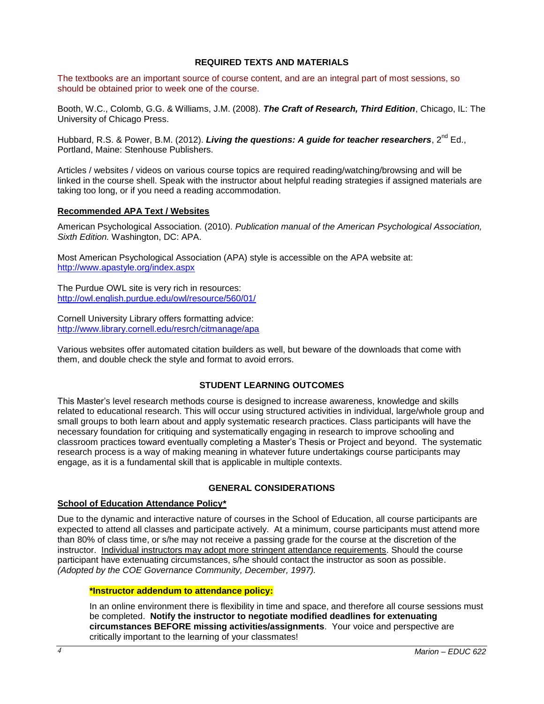#### **REQUIRED TEXTS AND MATERIALS**

<span id="page-3-0"></span>The textbooks are an important source of course content, and are an integral part of most sessions, so should be obtained prior to week one of the course.

Booth, W.C., Colomb, G.G. & Williams, J.M. (2008). *The Craft of Research, Third Edition*, Chicago, IL: The University of Chicago Press.

Hubbard, R.S. & Power, B.M. (2012). *Living the questions: A guide for teacher researchers*, 2<sup>nd</sup> Ed., Portland, Maine: Stenhouse Publishers.

Articles / websites / videos on various course topics are required reading/watching/browsing and will be linked in the course shell. Speak with the instructor about helpful reading strategies if assigned materials are taking too long, or if you need a reading accommodation.

#### **Recommended APA Text / Websites**

American Psychological Association*.* (2010). *Publication manual of the American Psychological Association, Sixth Edition.* Washington, DC: APA.

Most American Psychological Association (APA) style is accessible on the APA website at: <http://www.apastyle.org/index.aspx>

The Purdue OWL site is very rich in resources: <http://owl.english.purdue.edu/owl/resource/560/01/>

Cornell University Library offers formatting advice: <http://www.library.cornell.edu/resrch/citmanage/apa>

Various websites offer automated citation builders as well, but beware of the downloads that come with them, and double check the style and format to avoid errors.

#### **STUDENT LEARNING OUTCOMES**

<span id="page-3-1"></span>This Master's level research methods course is designed to increase awareness, knowledge and skills related to educational research. This will occur using structured activities in individual, large/whole group and small groups to both learn about and apply systematic research practices. Class participants will have the necessary foundation for critiquing and systematically engaging in research to improve schooling and classroom practices toward eventually completing a Master's Thesis or Project and beyond. The systematic research process is a way of making meaning in whatever future undertakings course participants may engage, as it is a fundamental skill that is applicable in multiple contexts.

#### **GENERAL CONSIDERATIONS**

#### <span id="page-3-3"></span><span id="page-3-2"></span>**School of Education Attendance Policy\***

Due to the dynamic and interactive nature of courses in the School of Education, all course participants are expected to attend all classes and participate actively. At a minimum, course participants must attend more than 80% of class time, or s/he may not receive a passing grade for the course at the discretion of the instructor. Individual instructors may adopt more stringent attendance requirements. Should the course participant have extenuating circumstances, s/he should contact the instructor as soon as possible. *(Adopted by the COE Governance Community, December, 1997).*

#### <span id="page-3-4"></span>**\*Instructor addendum to attendance policy:**

In an online environment there is flexibility in time and space, and therefore all course sessions must be completed. **Notify the instructor to negotiate modified deadlines for extenuating circumstances BEFORE missing activities/assignments**. Your voice and perspective are critically important to the learning of your classmates!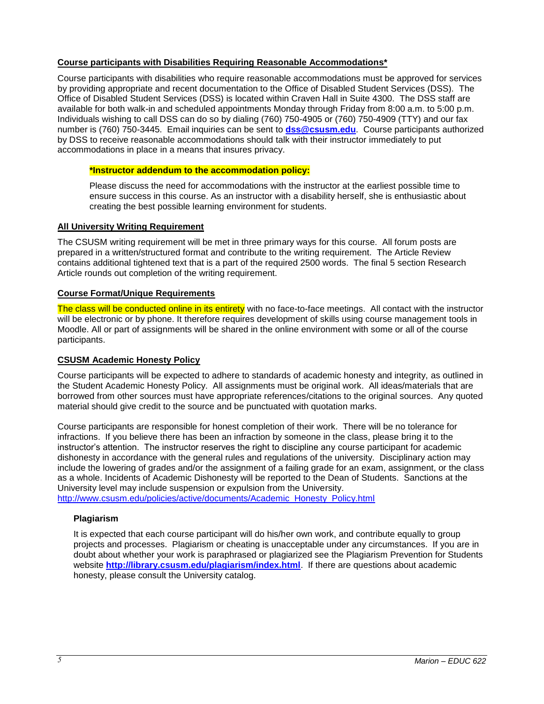#### <span id="page-4-0"></span>**Course participants with Disabilities Requiring Reasonable Accommodations\***

Course participants with disabilities who require reasonable accommodations must be approved for services by providing appropriate and recent documentation to the Office of Disabled Student Services (DSS). The Office of Disabled Student Services (DSS) is located within Craven Hall in Suite 4300. The DSS staff are available for both walk-in and scheduled appointments Monday through Friday from 8:00 a.m. to 5:00 p.m. Individuals wishing to call DSS can do so by dialing (760) 750-4905 or (760) 750-4909 (TTY) and our fax number is (760) 750-3445. Email inquiries can be sent to **[dss@csusm.edu](mailto:dss@csusm.edu)**. Course participants authorized by DSS to receive reasonable accommodations should talk with their instructor immediately to put accommodations in place in a means that insures privacy.

### <span id="page-4-1"></span>**\*Instructor addendum to the accommodation policy:**

Please discuss the need for accommodations with the instructor at the earliest possible time to ensure success in this course. As an instructor with a disability herself, she is enthusiastic about creating the best possible learning environment for students.

### <span id="page-4-2"></span>**All University Writing Requirement**

The CSUSM writing requirement will be met in three primary ways for this course. All forum posts are prepared in a written/structured format and contribute to the writing requirement. The Article Review contains additional tightened text that is a part of the required 2500 words. The final 5 section Research Article rounds out completion of the writing requirement.

### <span id="page-4-3"></span>**Course Format/Unique Requirements**

The class will be conducted online in its entirety with no face-to-face meetings. All contact with the instructor will be electronic or by phone. It therefore requires development of skills using course management tools in Moodle. All or part of assignments will be shared in the online environment with some or all of the course participants.

### <span id="page-4-4"></span>**CSUSM Academic Honesty Policy**

Course participants will be expected to adhere to standards of academic honesty and integrity, as outlined in the Student Academic Honesty Policy. All assignments must be original work. All ideas/materials that are borrowed from other sources must have appropriate references/citations to the original sources. Any quoted material should give credit to the source and be punctuated with quotation marks.

Course participants are responsible for honest completion of their work. There will be no tolerance for infractions. If you believe there has been an infraction by someone in the class, please bring it to the instructor's attention. The instructor reserves the right to discipline any course participant for academic dishonesty in accordance with the general rules and regulations of the university. Disciplinary action may include the lowering of grades and/or the assignment of a failing grade for an exam, assignment, or the class as a whole. Incidents of Academic Dishonesty will be reported to the Dean of Students. Sanctions at the University level may include suspension or expulsion from the University.

[http://www.csusm.edu/policies/active/documents/Academic\\_Honesty\\_Policy.html](http://www.csusm.edu/policies/active/documents/Academic_Honesty_Policy.html)

### <span id="page-4-5"></span>**Plagiarism**

It is expected that each course participant will do his/her own work, and contribute equally to group projects and processes. Plagiarism or cheating is unacceptable under any circumstances. If you are in doubt about whether your work is paraphrased or plagiarized see the Plagiarism Prevention for Students website **<http://library.csusm.edu/plagiarism/index.html>**. If there are questions about academic honesty, please consult the University catalog.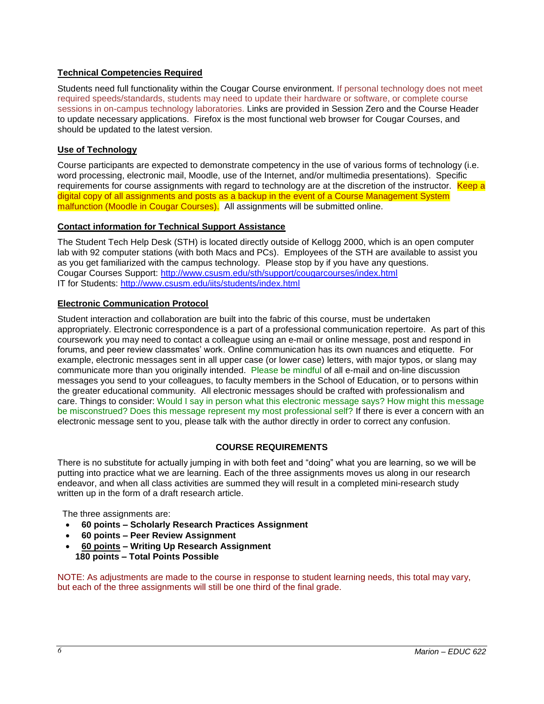### <span id="page-5-0"></span>**Technical Competencies Required**

Students need full functionality within the Cougar Course environment. If personal technology does not meet required speeds/standards, students may need to update their hardware or software, or complete course sessions in on-campus technology laboratories. Links are provided in Session Zero and the Course Header to update necessary applications. Firefox is the most functional web browser for Cougar Courses, and should be updated to the latest version.

# **Use of Technology**

Course participants are expected to demonstrate competency in the use of various forms of technology (i.e. word processing, electronic mail, Moodle, use of the Internet, and/or multimedia presentations). Specific requirements for course assignments with regard to technology are at the discretion of the instructor. Keep a digital copy of all assignments and posts as a backup in the event of a Course Management System malfunction (Moodle in Cougar Courses). All assignments will be submitted online.

### <span id="page-5-1"></span>**Contact information for Technical Support Assistance**

The Student Tech Help Desk (STH) is located directly outside of Kellogg 2000, which is an open computer lab with 92 computer stations (with both Macs and PCs). Employees of the STH are available to assist you as you get familiarized with the campus technology. Please stop by if you have any questions. Cougar Courses Support:<http://www.csusm.edu/sth/support/cougarcourses/index.html> IT for Students:<http://www.csusm.edu/iits/students/index.html>

### <span id="page-5-2"></span>**Electronic Communication Protocol**

Student interaction and collaboration are built into the fabric of this course, must be undertaken appropriately. Electronic correspondence is a part of a professional communication repertoire. As part of this coursework you may need to contact a colleague using an e-mail or online message, post and respond in forums, and peer review classmates' work. Online communication has its own nuances and etiquette. For example, electronic messages sent in all upper case (or lower case) letters, with major typos, or slang may communicate more than you originally intended. Please be mindful of all e-mail and on-line discussion messages you send to your colleagues, to faculty members in the School of Education, or to persons within the greater educational community. All electronic messages should be crafted with professionalism and care. Things to consider: Would I say in person what this electronic message says? How might this message be misconstrued? Does this message represent my most professional self? If there is ever a concern with an electronic message sent to you, please talk with the author directly in order to correct any confusion.

### **COURSE REQUIREMENTS**

<span id="page-5-3"></span>There is no substitute for actually jumping in with both feet and "doing" what you are learning, so we will be putting into practice what we are learning. Each of the three assignments moves us along in our research endeavor, and when all class activities are summed they will result in a completed mini-research study written up in the form of a draft research article.

The three assignments are:

- **60 points – Scholarly Research Practices Assignment**
- **60 points – Peer Review Assignment**
- **60 points – Writing Up Research Assignment 180 points – Total Points Possible**

NOTE: As adjustments are made to the course in response to student learning needs, this total may vary, but each of the three assignments will still be one third of the final grade.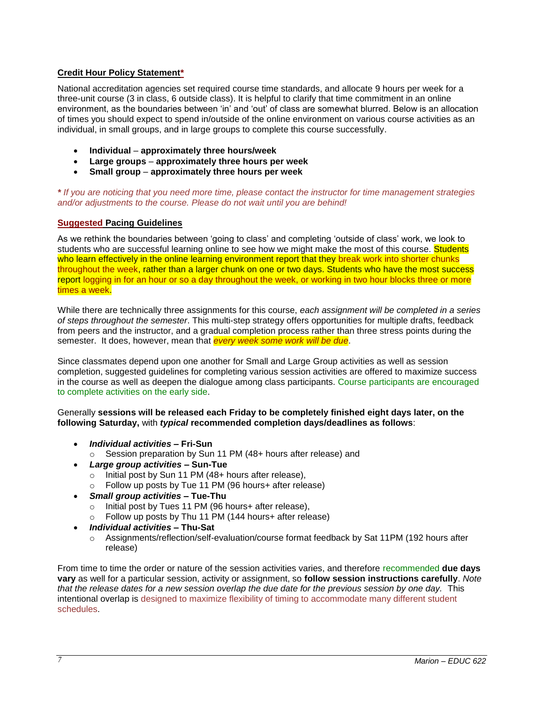### <span id="page-6-0"></span>**Credit Hour Policy Statement\***

National accreditation agencies set required course time standards, and allocate 9 hours per week for a three-unit course (3 in class, 6 outside class). It is helpful to clarify that time commitment in an online environment, as the boundaries between 'in' and 'out' of class are somewhat blurred. Below is an allocation of times you should expect to spend in/outside of the online environment on various course activities as an individual, in small groups, and in large groups to complete this course successfully.

- **Individual approximately three hours/week**
- **Large groups approximately three hours per week**
- **Small group approximately three hours per week**

*\* If you are noticing that you need more time, please contact the instructor for time management strategies and/or adjustments to the course. Please do not wait until you are behind!*

### <span id="page-6-1"></span>**Suggested Pacing Guidelines**

As we rethink the boundaries between 'going to class' and completing 'outside of class' work, we look to students who are successful learning online to see how we might make the most of this course. Students who learn effectively in the online learning environment report that they break work into shorter chunks throughout the week, rather than a larger chunk on one or two days. Students who have the most success report logging in for an hour or so a day throughout the week, or working in two hour blocks three or more times a week.

While there are technically three assignments for this course, *each assignment will be completed in a series of steps throughout the semester*. This multi-step strategy offers opportunities for multiple drafts, feedback from peers and the instructor, and a gradual completion process rather than three stress points during the semester. It does, however, mean that *every week some work will be due*.

Since classmates depend upon one another for Small and Large Group activities as well as session completion, suggested guidelines for completing various session activities are offered to maximize success in the course as well as deepen the dialogue among class participants. Course participants are encouraged to complete activities on the early side.

#### Generally **sessions will be released each Friday to be completely finished eight days later, on the following Saturday,** with *typical* **recommended completion days/deadlines as follows**:

- *Individual activities* **– Fri-Sun**
	- o Session preparation by Sun 11 PM (48+ hours after release) and
- *Large group activities* **– Sun-Tue**
	- o Initial post by Sun 11 PM (48+ hours after release),
	- o Follow up posts by Tue 11 PM (96 hours+ after release)
- *Small group activities* **– Tue-Thu**
	- o Initial post by Tues 11 PM (96 hours+ after release),
	- o Follow up posts by Thu 11 PM (144 hours+ after release)
- *Individual activities* **– Thu-Sat**
	- o Assignments/reflection/self-evaluation/course format feedback by Sat 11PM (192 hours after release)

From time to time the order or nature of the session activities varies, and therefore recommended **due days vary** as well for a particular session, activity or assignment, so **follow session instructions carefully**. *Note that the release dates for a new session overlap the due date for the previous session by one day.* This intentional overlap is designed to maximize flexibility of timing to accommodate many different student schedules.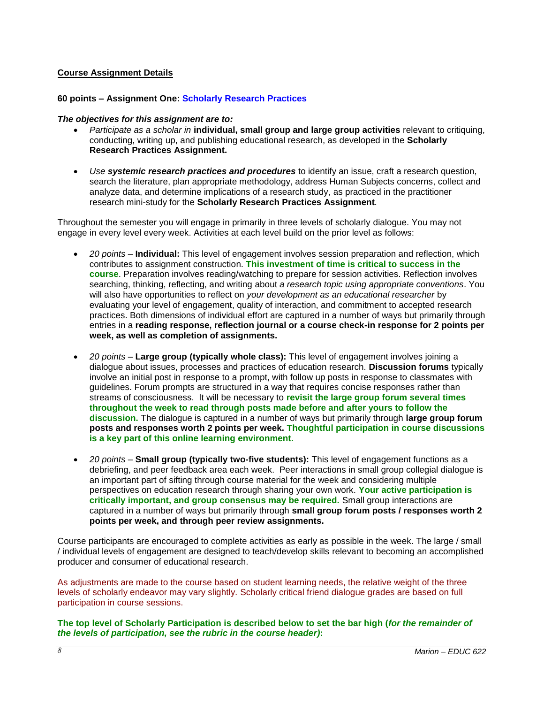### <span id="page-7-0"></span>**Course Assignment Details**

#### **60 points – Assignment One: Scholarly Research Practices**

#### *The objectives for this assignment are to:*

- *Participate as a scholar in* **individual, small group and large group activities** relevant to critiquing, conducting, writing up, and publishing educational research, as developed in the **Scholarly Research Practices Assignment.**
- *Use systemic research practices and procedures* to identify an issue, craft a research question, search the literature, plan appropriate methodology, address Human Subjects concerns, collect and analyze data, and determine implications of a research study, as practiced in the practitioner research mini-study for the **Scholarly Research Practices Assignment***.*

Throughout the semester you will engage in primarily in three levels of scholarly dialogue. You may not engage in every level every week. Activities at each level build on the prior level as follows:

- *20 points* **Individual:** This level of engagement involves session preparation and reflection, which contributes to assignment construction. **This investment of time is critical to success in the course**. Preparation involves reading/watching to prepare for session activities. Reflection involves searching, thinking, reflecting, and writing about *a research topic using appropriate conventions*. You will also have opportunities to reflect on *your development as an educational researcher* by evaluating your level of engagement, quality of interaction, and commitment to accepted research practices. Both dimensions of individual effort are captured in a number of ways but primarily through entries in a **reading response, reflection journal or a course check-in response for 2 points per week, as well as completion of assignments.**
- *20 points* **Large group (typically whole class):** This level of engagement involves joining a dialogue about issues, processes and practices of education research. **Discussion forums** typically involve an initial post in response to a prompt, with follow up posts in response to classmates with guidelines. Forum prompts are structured in a way that requires concise responses rather than streams of consciousness. It will be necessary to **revisit the large group forum several times throughout the week to read through posts made before and after yours to follow the discussion.** The dialogue is captured in a number of ways but primarily through **large group forum posts and responses worth 2 points per week. Thoughtful participation in course discussions is a key part of this online learning environment.**
- *20 points* **Small group (typically two-five students):** This level of engagement functions as a debriefing, and peer feedback area each week. Peer interactions in small group collegial dialogue is an important part of sifting through course material for the week and considering multiple perspectives on education research through sharing your own work. **Your active participation is critically important, and group consensus may be required.** Small group interactions are captured in a number of ways but primarily through **small group forum posts / responses worth 2 points per week, and through peer review assignments.**

Course participants are encouraged to complete activities as early as possible in the week. The large / small / individual levels of engagement are designed to teach/develop skills relevant to becoming an accomplished producer and consumer of educational research.

As adjustments are made to the course based on student learning needs, the relative weight of the three levels of scholarly endeavor may vary slightly. Scholarly critical friend dialogue grades are based on full participation in course sessions.

**The top level of Scholarly Participation is described below to set the bar high (***for the remainder of the levels of participation, see the rubric in the course header)***:**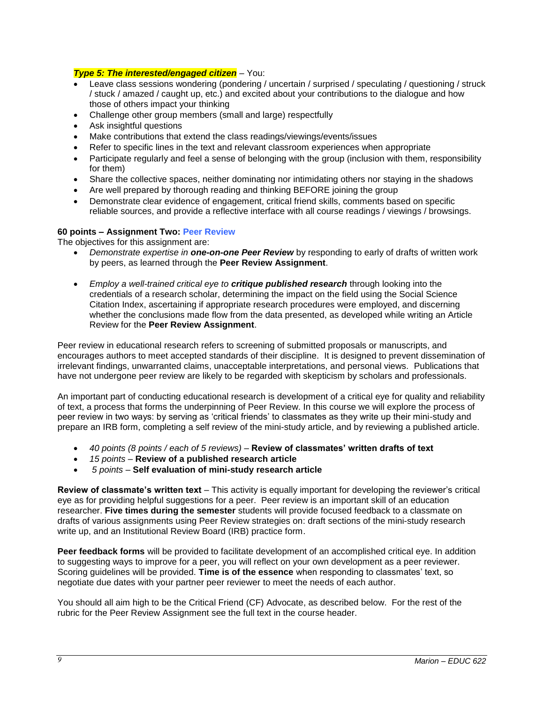### *Type 5: The interested/engaged citizen* – You:

- Leave class sessions wondering (pondering / uncertain / surprised / speculating / questioning / struck / stuck / amazed / caught up, etc.) and excited about your contributions to the dialogue and how those of others impact your thinking
- Challenge other group members (small and large) respectfully
- Ask insightful questions
- Make contributions that extend the class readings/viewings/events/issues
- Refer to specific lines in the text and relevant classroom experiences when appropriate
- Participate regularly and feel a sense of belonging with the group (inclusion with them, responsibility for them)
- Share the collective spaces, neither dominating nor intimidating others nor staying in the shadows
- Are well prepared by thorough reading and thinking BEFORE joining the group
- Demonstrate clear evidence of engagement, critical friend skills, comments based on specific reliable sources, and provide a reflective interface with all course readings / viewings / browsings.

### **60 points – Assignment Two: Peer Review**

The objectives for this assignment are:

- *Demonstrate expertise in one-on-one Peer Review* by responding to early of drafts of written work by peers, as learned through the **Peer Review Assignment**.
- *Employ a well-trained critical eye to critique published research* through looking into the credentials of a research scholar, determining the impact on the field using the Social Science Citation Index, ascertaining if appropriate research procedures were employed, and discerning whether the conclusions made flow from the data presented, as developed while writing an Article Review for the **Peer Review Assignment**.

Peer review in educational research refers to screening of submitted proposals or manuscripts, and encourages authors to meet accepted standards of their discipline. It is designed to prevent dissemination of irrelevant findings, unwarranted claims, unacceptable interpretations, and personal views. Publications that have not undergone peer review are likely to be regarded with skepticism by scholars and professionals.

An important part of conducting educational research is development of a critical eye for quality and reliability of text, a process that forms the underpinning of Peer Review. In this course we will explore the process of peer review in two ways: by serving as 'critical friends' to classmates as they write up their mini-study and prepare an IRB form, completing a self review of the mini-study article, and by reviewing a published article.

- *40 points (8 points / each of 5 reviews) –* **Review of classmates' written drafts of text**
- *15 points* **Review of a published research article**
- *5 points –* **Self evaluation of mini-study research article**

**Review of classmate's written text** – This activity is equally important for developing the reviewer's critical eye as for providing helpful suggestions for a peer. Peer review is an important skill of an education researcher. **Five times during the semester** students will provide focused feedback to a classmate on drafts of various assignments using Peer Review strategies on: draft sections of the mini-study research write up, and an Institutional Review Board (IRB) practice form.

**Peer feedback forms** will be provided to facilitate development of an accomplished critical eye. In addition to suggesting ways to improve for a peer, you will reflect on your own development as a peer reviewer. Scoring guidelines will be provided. **Time is of the essence** when responding to classmates' text, so negotiate due dates with your partner peer reviewer to meet the needs of each author.

You should all aim high to be the Critical Friend (CF) Advocate, as described below. For the rest of the rubric for the Peer Review Assignment see the full text in the course header.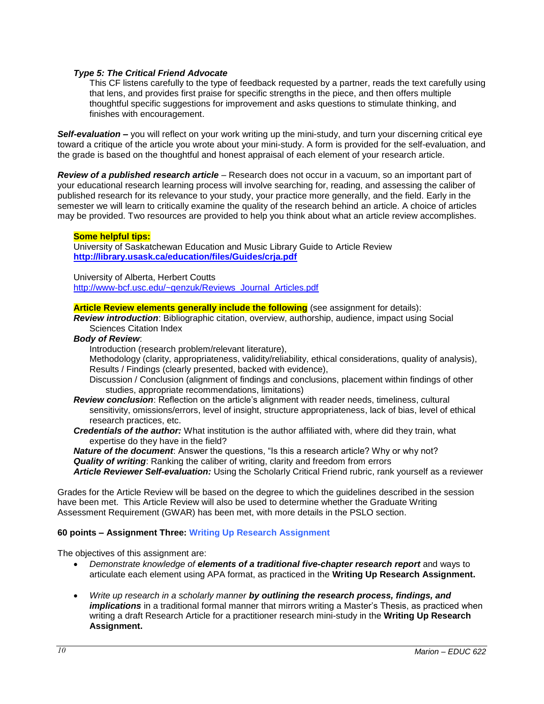#### *Type 5: The Critical Friend Advocate*

This CF listens carefully to the type of feedback requested by a partner, reads the text carefully using that lens, and provides first praise for specific strengths in the piece, and then offers multiple thoughtful specific suggestions for improvement and asks questions to stimulate thinking, and finishes with encouragement.

*Self-evaluation –* you will reflect on your work writing up the mini-study, and turn your discerning critical eye toward a critique of the article you wrote about your mini-study. A form is provided for the self-evaluation, and the grade is based on the thoughtful and honest appraisal of each element of your research article.

*Review of a published research article* – Research does not occur in a vacuum, so an important part of your educational research learning process will involve searching for, reading, and assessing the caliber of published research for its relevance to your study, your practice more generally, and the field. Early in the semester we will learn to critically examine the quality of the research behind an article. A choice of articles may be provided. Two resources are provided to help you think about what an article review accomplishes.

#### **Some helpful tips:**

University of Saskatchewan Education and Music Library Guide to Article Review **<http://library.usask.ca/education/files/Guides/crja.pdf>**

University of Alberta, Herbert Coutts

[http://www-bcf.usc.edu/~genzuk/Reviews\\_Journal\\_Articles.pdf](http://www-bcf.usc.edu/~genzuk/Reviews_Journal_Articles.pdf)

**Article Review elements generally include the following** (see assignment for details):

*Review introduction*: Bibliographic citation, overview, authorship, audience, impact using Social Sciences Citation Index

#### *Body of Review*:

Introduction (research problem/relevant literature),

Methodology (clarity, appropriateness, validity/reliability, ethical considerations, quality of analysis), Results / Findings (clearly presented, backed with evidence),

- Discussion / Conclusion (alignment of findings and conclusions, placement within findings of other studies, appropriate recommendations, limitations)
- *Review conclusion*: Reflection on the article's alignment with reader needs, timeliness, cultural sensitivity, omissions/errors, level of insight, structure appropriateness, lack of bias, level of ethical research practices, etc.
- *Credentials of the author:* What institution is the author affiliated with, where did they train, what expertise do they have in the field?

*Nature of the document*: Answer the questions, "Is this a research article? Why or why not? *Quality of writing*: Ranking the caliber of writing, clarity and freedom from errors *Article Reviewer Self-evaluation:* Using the Scholarly Critical Friend rubric, rank yourself as a reviewer

Grades for the Article Review will be based on the degree to which the guidelines described in the session have been met. This Article Review will also be used to determine whether the Graduate Writing Assessment Requirement (GWAR) has been met, with more details in the PSLO section.

#### **60 points – Assignment Three: Writing Up Research Assignment**

The objectives of this assignment are:

- *Demonstrate knowledge of elements of a traditional five-chapter research report* and ways to articulate each element using APA format, as practiced in the **Writing Up Research Assignment.**
- *Write up research in a scholarly manner by outlining the research process, findings, and implications* in a traditional formal manner that mirrors writing a Master's Thesis, as practiced when writing a draft Research Article for a practitioner research mini-study in the **Writing Up Research Assignment.**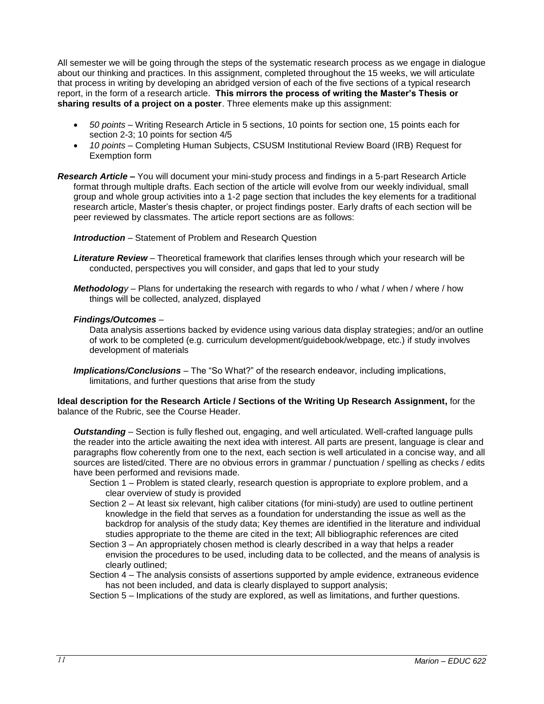All semester we will be going through the steps of the systematic research process as we engage in dialogue about our thinking and practices. In this assignment, completed throughout the 15 weeks, we will articulate that process in writing by developing an abridged version of each of the five sections of a typical research report, in the form of a research article. **This mirrors the process of writing the Master's Thesis or sharing results of a project on a poster**. Three elements make up this assignment:

- *50 points* Writing Research Article in 5 sections, 10 points for section one, 15 points each for section 2-3; 10 points for section 4/5
- *10 points* Completing Human Subjects, CSUSM Institutional Review Board (IRB) Request for Exemption form
- *Research Article –* You will document your mini-study process and findings in a 5-part Research Article format through multiple drafts. Each section of the article will evolve from our weekly individual, small group and whole group activities into a 1-2 page section that includes the key elements for a traditional research article, Master's thesis chapter, or project findings poster. Early drafts of each section will be peer reviewed by classmates. The article report sections are as follows:

*Introduction* – Statement of Problem and Research Question

- *Literature Review* Theoretical framework that clarifies lenses through which your research will be conducted, perspectives you will consider, and gaps that led to your study
- *Methodology* Plans for undertaking the research with regards to who / what / when / where / how things will be collected, analyzed, displayed

#### *Findings/Outcomes* –

Data analysis assertions backed by evidence using various data display strategies; and/or an outline of work to be completed (e.g. curriculum development/guidebook/webpage, etc.) if study involves development of materials

*Implications/Conclusions* – The "So What?" of the research endeavor, including implications, limitations, and further questions that arise from the study

**Ideal description for the Research Article / Sections of the Writing Up Research Assignment,** for the balance of the Rubric, see the Course Header.

*Outstanding* – Section is fully fleshed out, engaging, and well articulated. Well-crafted language pulls the reader into the article awaiting the next idea with interest. All parts are present, language is clear and paragraphs flow coherently from one to the next, each section is well articulated in a concise way, and all sources are listed/cited. There are no obvious errors in grammar / punctuation / spelling as checks / edits have been performed and revisions made.

- Section 1 Problem is stated clearly, research question is appropriate to explore problem, and a clear overview of study is provided
- Section 2 At least six relevant, high caliber citations (for mini-study) are used to outline pertinent knowledge in the field that serves as a foundation for understanding the issue as well as the backdrop for analysis of the study data; Key themes are identified in the literature and individual studies appropriate to the theme are cited in the text; All bibliographic references are cited
- Section 3 An appropriately chosen method is clearly described in a way that helps a reader envision the procedures to be used, including data to be collected, and the means of analysis is clearly outlined;
- Section 4 The analysis consists of assertions supported by ample evidence, extraneous evidence has not been included, and data is clearly displayed to support analysis;
- Section 5 Implications of the study are explored, as well as limitations, and further questions.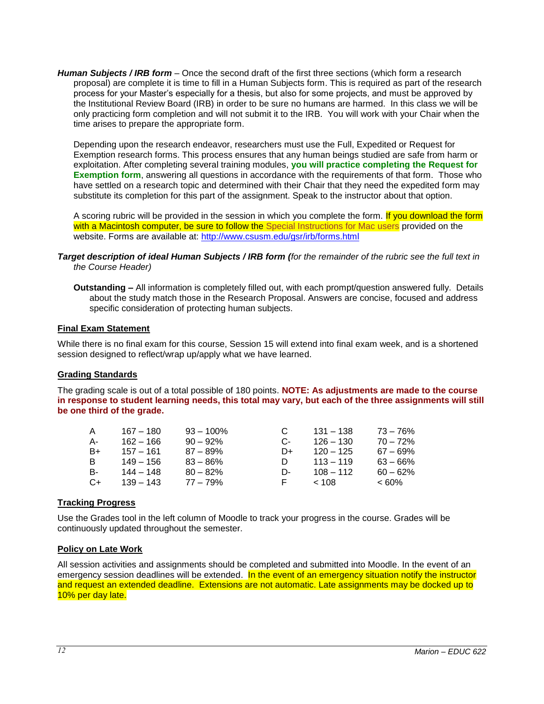*Human Subjects / IRB form* – Once the second draft of the first three sections (which form a research proposal) are complete it is time to fill in a Human Subjects form. This is required as part of the research process for your Master's especially for a thesis, but also for some projects, and must be approved by the Institutional Review Board (IRB) in order to be sure no humans are harmed. In this class we will be only practicing form completion and will not submit it to the IRB. You will work with your Chair when the time arises to prepare the appropriate form.

Depending upon the research endeavor, researchers must use the Full, Expedited or Request for Exemption research forms. This process ensures that any human beings studied are safe from harm or exploitation. After completing several training modules, **you will practice completing the Request for Exemption form**, answering all questions in accordance with the requirements of that form. Those who have settled on a research topic and determined with their Chair that they need the expedited form may substitute its completion for this part of the assignment. Speak to the instructor about that option.

A scoring rubric will be provided in the session in which you complete the form. If you download the form with a Macintosh computer, be sure to follow the Special Instructions for Mac users provided on the website. Forms are available at:<http://www.csusm.edu/gsr/irb/forms.html>

#### *Target description of ideal Human Subjects / IRB form (for the remainder of the rubric see the full text in the Course Header)*

**Outstanding –** All information is completely filled out, with each prompt/question answered fully. Details about the study match those in the Research Proposal. Answers are concise, focused and address specific consideration of protecting human subjects.

#### <span id="page-11-0"></span>**Final Exam Statement**

While there is no final exam for this course, Session 15 will extend into final exam week, and is a shortened session designed to reflect/wrap up/apply what we have learned.

#### <span id="page-11-1"></span>**Grading Standards**

The grading scale is out of a total possible of 180 points. **NOTE: As adjustments are made to the course in response to student learning needs, this total may vary, but each of the three assignments will still be one third of the grade.**

| A    | 167 – 180   | $93 - 100\%$ |    | $131 - 138$ | 73 – 76%    |
|------|-------------|--------------|----|-------------|-------------|
| А-   | 162 – 166   | $90 - 92\%$  | C- | $126 - 130$ | $70 - 72%$  |
| B+   | 157 – 161   | $87 - 89%$   | D+ | $120 - 125$ | $67 - 69\%$ |
| B.   | 149 – 156   | $83 - 86\%$  | D  | $113 - 119$ | $63 - 66\%$ |
| В-   | 144 – 148   | $80 - 82%$   | D- | $108 - 112$ | $60 - 62\%$ |
| $C+$ | $139 - 143$ | $77 - 79%$   | н. | ~< 108      | $< 60\%$    |

#### <span id="page-11-2"></span>**Tracking Progress**

Use the Grades tool in the left column of Moodle to track your progress in the course. Grades will be continuously updated throughout the semester.

#### <span id="page-11-3"></span>**Policy on Late Work**

All session activities and assignments should be completed and submitted into Moodle. In the event of an emergency session deadlines will be extended. In the event of an emergency situation notify the instructor and request an extended deadline. Extensions are not automatic. Late assignments may be docked up to 10% per day late.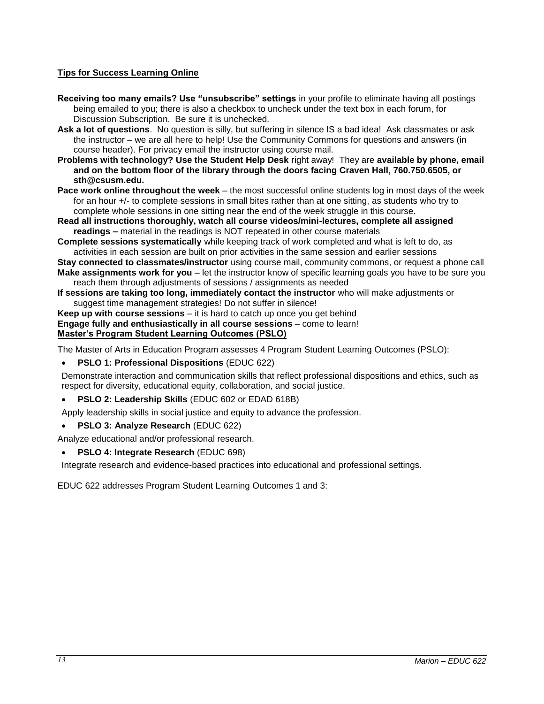# <span id="page-12-0"></span>**Tips for Success Learning Online**

- **Receiving too many emails? Use "unsubscribe" settings** in your profile to eliminate having all postings being emailed to you; there is also a checkbox to uncheck under the text box in each forum, for Discussion Subscription. Be sure it is unchecked.
- **Ask a lot of questions**. No question is silly, but suffering in silence IS a bad idea! Ask classmates or ask the instructor – we are all here to help! Use the Community Commons for questions and answers (in course header). For privacy email the instructor using course mail.
- **Problems with technology? Use the Student Help Desk** right away! They are **available by phone, email and on the bottom floor of the library through the doors facing Craven Hall, 760.750.6505, or sth@csusm.edu.**
- **Pace work online throughout the week** the most successful online students log in most days of the week for an hour +/- to complete sessions in small bites rather than at one sitting, as students who try to complete whole sessions in one sitting near the end of the week struggle in this course.
- **Read all instructions thoroughly, watch all course videos/mini-lectures, complete all assigned readings –** material in the readings is NOT repeated in other course materials
- **Complete sessions systematically** while keeping track of work completed and what is left to do, as activities in each session are built on prior activities in the same session and earlier sessions
- **Stay connected to classmates/instructor** using course mail, community commons, or request a phone call **Make assignments work for you** – let the instructor know of specific learning goals you have to be sure you reach them through adjustments of sessions / assignments as needed
- **If sessions are taking too long, immediately contact the instructor** who will make adjustments or suggest time management strategies! Do not suffer in silence!
- **Keep up with course sessions** it is hard to catch up once you get behind **Engage fully and enthusiastically in all course sessions** – come to learn! **Master's Program Student Learning Outcomes (PSLO)**

<span id="page-12-1"></span>The Master of Arts in Education Program assesses 4 Program Student Learning Outcomes (PSLO):

### **PSLO 1: Professional Dispositions** (EDUC 622)

Demonstrate interaction and communication skills that reflect professional dispositions and ethics, such as respect for diversity, educational equity, collaboration, and social justice.

**PSLO 2: Leadership Skills** (EDUC 602 or EDAD 618B)

Apply leadership skills in social justice and equity to advance the profession.

**PSLO 3: Analyze Research** (EDUC 622)

Analyze educational and/or professional research.

### **PSLO 4: Integrate Research** (EDUC 698)

Integrate research and evidence-based practices into educational and professional settings.

EDUC 622 addresses Program Student Learning Outcomes 1 and 3: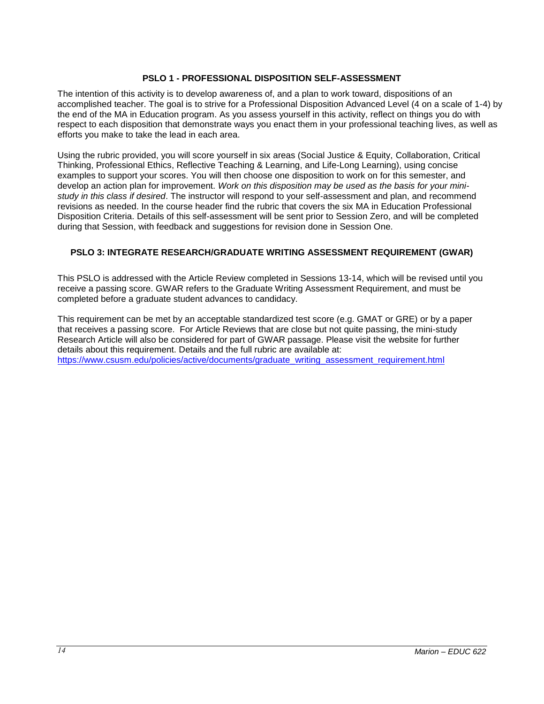### **PSLO 1 - PROFESSIONAL DISPOSITION SELF-ASSESSMENT**

<span id="page-13-0"></span>The intention of this activity is to develop awareness of, and a plan to work toward, dispositions of an accomplished teacher. The goal is to strive for a Professional Disposition Advanced Level (4 on a scale of 1-4) by the end of the MA in Education program. As you assess yourself in this activity, reflect on things you do with respect to each disposition that demonstrate ways you enact them in your professional teaching lives, as well as efforts you make to take the lead in each area.

Using the rubric provided, you will score yourself in six areas (Social Justice & Equity, Collaboration, Critical Thinking, Professional Ethics, Reflective Teaching & Learning, and Life-Long Learning), using concise examples to support your scores. You will then choose one disposition to work on for this semester, and develop an action plan for improvement. *Work on this disposition may be used as the basis for your ministudy in this class if desired*. The instructor will respond to your self-assessment and plan, and recommend revisions as needed. In the course header find the rubric that covers the six MA in Education Professional Disposition Criteria. Details of this self-assessment will be sent prior to Session Zero, and will be completed during that Session, with feedback and suggestions for revision done in Session One.

### <span id="page-13-1"></span>**PSLO 3: INTEGRATE RESEARCH/GRADUATE WRITING ASSESSMENT REQUIREMENT (GWAR)**

This PSLO is addressed with the Article Review completed in Sessions 13-14, which will be revised until you receive a passing score. GWAR refers to the Graduate Writing Assessment Requirement, and must be completed before a graduate student advances to candidacy.

This requirement can be met by an acceptable standardized test score (e.g. GMAT or GRE) or by a paper that receives a passing score. For Article Reviews that are close but not quite passing, the mini-study Research Article will also be considered for part of GWAR passage. Please visit the website for further details about this requirement. Details and the full rubric are available at: [https://www.csusm.edu/policies/active/documents/graduate\\_writing\\_assessment\\_requirement.html](https://www.csusm.edu/policies/active/documents/graduate_writing_assessment_requirement.html)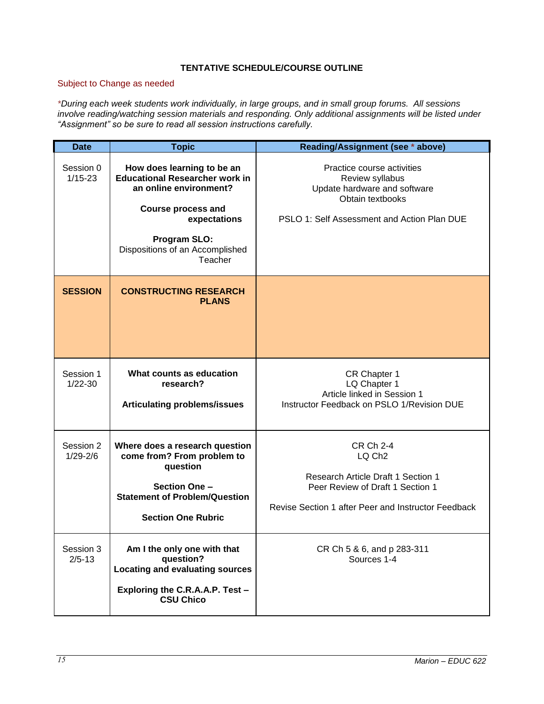# **TENTATIVE SCHEDULE/COURSE OUTLINE**

# <span id="page-14-0"></span>Subject to Change as needed

*\*During each week students work individually, in large groups, and in small group forums. All sessions involve reading/watching session materials and responding. Only additional assignments will be listed under "Assignment" so be sure to read all session instructions carefully.*

| Date                      | <b>Topic</b>                                                                                                                                                                                             | Reading/Assignment (see * above)                                                                                                                                        |
|---------------------------|----------------------------------------------------------------------------------------------------------------------------------------------------------------------------------------------------------|-------------------------------------------------------------------------------------------------------------------------------------------------------------------------|
| Session 0<br>$1/15 - 23$  | How does learning to be an<br><b>Educational Researcher work in</b><br>an online environment?<br><b>Course process and</b><br>expectations<br>Program SLO:<br>Dispositions of an Accomplished<br>Teacher | Practice course activities<br>Review syllabus<br>Update hardware and software<br>Obtain textbooks<br>PSLO 1: Self Assessment and Action Plan DUE                        |
| <b>SESSION</b>            | <b>CONSTRUCTING RESEARCH</b><br><b>PLANS</b>                                                                                                                                                             |                                                                                                                                                                         |
| Session 1<br>$1/22 - 30$  | What counts as education<br>research?<br><b>Articulating problems/issues</b>                                                                                                                             | CR Chapter 1<br>LQ Chapter 1<br>Article linked in Session 1<br>Instructor Feedback on PSLO 1/Revision DUE                                                               |
| Session 2<br>$1/29 - 2/6$ | Where does a research question<br>come from? From problem to<br>question<br><b>Section One -</b><br><b>Statement of Problem/Question</b><br><b>Section One Rubric</b>                                    | <b>CR Ch 2-4</b><br>LQ Ch <sub>2</sub><br>Research Article Draft 1 Section 1<br>Peer Review of Draft 1 Section 1<br>Revise Section 1 after Peer and Instructor Feedback |
| Session 3<br>$2/5 - 13$   | Am I the only one with that<br>question?<br>Locating and evaluating sources<br>Exploring the C.R.A.A.P. Test -<br><b>CSU Chico</b>                                                                       | CR Ch 5 & 6, and p 283-311<br>Sources 1-4                                                                                                                               |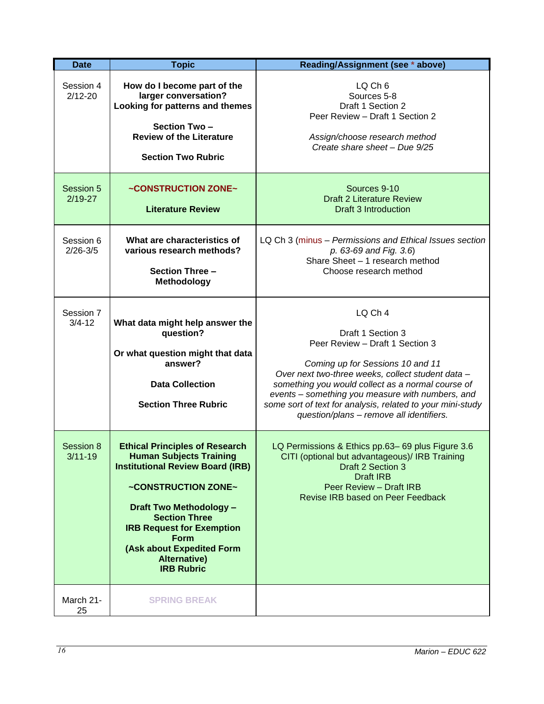| <b>Date</b>               | <b>Topic</b>                                                                                                                                                                                                                                                                                                                    | Reading/Assignment (see * above)                                                                                                                                                                                                                                                                                                                                            |
|---------------------------|---------------------------------------------------------------------------------------------------------------------------------------------------------------------------------------------------------------------------------------------------------------------------------------------------------------------------------|-----------------------------------------------------------------------------------------------------------------------------------------------------------------------------------------------------------------------------------------------------------------------------------------------------------------------------------------------------------------------------|
| Session 4<br>$2/12 - 20$  | How do I become part of the<br>larger conversation?<br>Looking for patterns and themes<br>Section Two-                                                                                                                                                                                                                          | LQ Ch 6<br>Sources 5-8<br>Draft 1 Section 2<br>Peer Review - Draft 1 Section 2                                                                                                                                                                                                                                                                                              |
|                           | <b>Review of the Literature</b><br><b>Section Two Rubric</b>                                                                                                                                                                                                                                                                    | Assign/choose research method<br>Create share sheet - Due 9/25                                                                                                                                                                                                                                                                                                              |
| Session 5<br>$2/19-27$    | ~CONSTRUCTION ZONE~<br><b>Literature Review</b>                                                                                                                                                                                                                                                                                 | Sources 9-10<br><b>Draft 2 Literature Review</b><br><b>Draft 3 Introduction</b>                                                                                                                                                                                                                                                                                             |
| Session 6<br>$2/26 - 3/5$ | What are characteristics of<br>various research methods?<br>Section Three -<br>Methodology                                                                                                                                                                                                                                      | LQ Ch 3 (minus - Permissions and Ethical Issues section<br>p. 63-69 and Fig. 3.6)<br>Share Sheet - 1 research method<br>Choose research method                                                                                                                                                                                                                              |
| Session 7<br>$3/4 - 12$   | What data might help answer the<br>question?<br>Or what question might that data<br>answer?<br><b>Data Collection</b><br><b>Section Three Rubric</b>                                                                                                                                                                            | LQ Ch 4<br>Draft 1 Section 3<br>Peer Review - Draft 1 Section 3<br>Coming up for Sessions 10 and 11<br>Over next two-three weeks, collect student data -<br>something you would collect as a normal course of<br>events - something you measure with numbers, and<br>some sort of text for analysis, related to your mini-study<br>question/plans - remove all identifiers. |
| Session 8<br>$3/11 - 19$  | <b>Ethical Principles of Research</b><br><b>Human Subjects Training</b><br><b>Institutional Review Board (IRB)</b><br>~CONSTRUCTION ZONE~<br><b>Draft Two Methodology -</b><br><b>Section Three</b><br><b>IRB Request for Exemption</b><br><b>Form</b><br>(Ask about Expedited Form<br><b>Alternative)</b><br><b>IRB Rubric</b> | LQ Permissions & Ethics pp.63-69 plus Figure 3.6<br>CITI (optional but advantageous)/ IRB Training<br>Draft 2 Section 3<br><b>Draft IRB</b><br>Peer Review - Draft IRB<br>Revise IRB based on Peer Feedback                                                                                                                                                                 |
| March 21-<br>25           | <b>SPRING BREAK</b>                                                                                                                                                                                                                                                                                                             |                                                                                                                                                                                                                                                                                                                                                                             |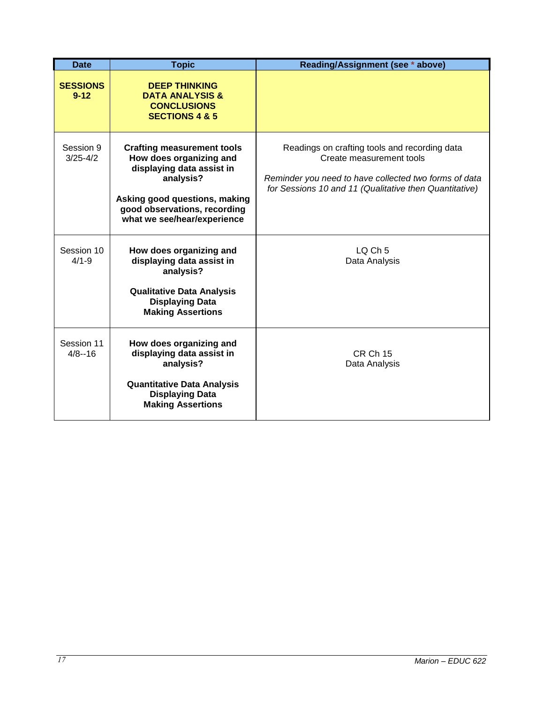| <b>Date</b>                 | <b>Topic</b>                                                                                                                                                                                           | Reading/Assignment (see * above)                                                                                                                                                             |
|-----------------------------|--------------------------------------------------------------------------------------------------------------------------------------------------------------------------------------------------------|----------------------------------------------------------------------------------------------------------------------------------------------------------------------------------------------|
| <b>SESSIONS</b><br>$9 - 12$ | <b>DEEP THINKING</b><br><b>DATA ANALYSIS &amp;</b><br><b>CONCLUSIONS</b><br><b>SECTIONS 4 &amp; 5</b>                                                                                                  |                                                                                                                                                                                              |
| Session 9<br>$3/25 - 4/2$   | <b>Crafting measurement tools</b><br>How does organizing and<br>displaying data assist in<br>analysis?<br>Asking good questions, making<br>good observations, recording<br>what we see/hear/experience | Readings on crafting tools and recording data<br>Create measurement tools<br>Reminder you need to have collected two forms of data<br>for Sessions 10 and 11 (Qualitative then Quantitative) |
| Session 10<br>$4/1 - 9$     | How does organizing and<br>displaying data assist in<br>analysis?<br><b>Qualitative Data Analysis</b><br><b>Displaying Data</b><br><b>Making Assertions</b>                                            | $LQ$ Ch 5<br>Data Analysis                                                                                                                                                                   |
| Session 11<br>$4/8 - 16$    | How does organizing and<br>displaying data assist in<br>analysis?<br><b>Quantitative Data Analysis</b><br><b>Displaying Data</b><br><b>Making Assertions</b>                                           | <b>CR Ch 15</b><br>Data Analysis                                                                                                                                                             |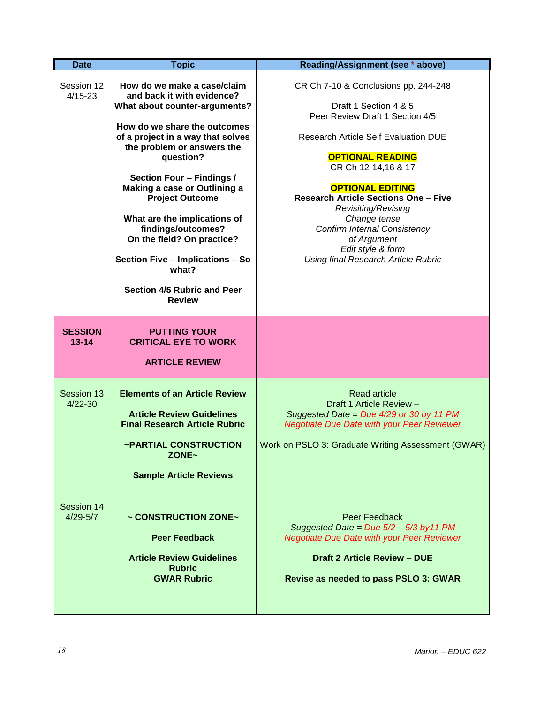| <b>Date</b>                 | <b>Topic</b>                                                                                                                                                                                                                                                                                                                                                                                                                                                                       | Reading/Assignment (see * above)                                                                                                                                                                                                                                                                                                                                                                                                            |
|-----------------------------|------------------------------------------------------------------------------------------------------------------------------------------------------------------------------------------------------------------------------------------------------------------------------------------------------------------------------------------------------------------------------------------------------------------------------------------------------------------------------------|---------------------------------------------------------------------------------------------------------------------------------------------------------------------------------------------------------------------------------------------------------------------------------------------------------------------------------------------------------------------------------------------------------------------------------------------|
| Session 12<br>$4/15 - 23$   | How do we make a case/claim<br>and back it with evidence?<br>What about counter-arguments?<br>How do we share the outcomes<br>of a project in a way that solves<br>the problem or answers the<br>question?<br>Section Four - Findings /<br>Making a case or Outlining a<br><b>Project Outcome</b><br>What are the implications of<br>findings/outcomes?<br>On the field? On practice?<br>Section Five - Implications - So<br>what?<br>Section 4/5 Rubric and Peer<br><b>Review</b> | CR Ch 7-10 & Conclusions pp. 244-248<br>Draft 1 Section 4 & 5<br>Peer Review Draft 1 Section 4/5<br><b>Research Article Self Evaluation DUE</b><br><b>OPTIONAL READING</b><br>CR Ch 12-14,16 & 17<br><b>OPTIONAL EDITING</b><br><b>Research Article Sections One - Five</b><br>Revisiting/Revising<br>Change tense<br><b>Confirm Internal Consistency</b><br>of Argument<br>Edit style & form<br><b>Using final Research Article Rubric</b> |
| <b>SESSION</b><br>$13 - 14$ | <b>PUTTING YOUR</b><br><b>CRITICAL EYE TO WORK</b><br><b>ARTICLE REVIEW</b>                                                                                                                                                                                                                                                                                                                                                                                                        |                                                                                                                                                                                                                                                                                                                                                                                                                                             |
| Session 13<br>$4/22 - 30$   | <b>Elements of an Article Review</b><br><b>Article Review Guidelines</b><br><b>Final Research Article Rubric</b><br>~PARTIAL CONSTRUCTION<br>ZONE~<br><b>Sample Article Reviews</b>                                                                                                                                                                                                                                                                                                | <b>Read article</b><br>Draft 1 Article Review -<br>Suggested Date = Due 4/29 or 30 by 11 PM<br><b>Negotiate Due Date with your Peer Reviewer</b><br>Work on PSLO 3: Graduate Writing Assessment (GWAR)                                                                                                                                                                                                                                      |
| Session 14<br>$4/29 - 5/7$  | ~ CONSTRUCTION ZONE~<br><b>Peer Feedback</b><br><b>Article Review Guidelines</b><br><b>Rubric</b><br><b>GWAR Rubric</b>                                                                                                                                                                                                                                                                                                                                                            | Peer Feedback<br>Suggested Date = Due $5/2 - 5/3$ by 11 PM<br><b>Negotiate Due Date with your Peer Reviewer</b><br><b>Draft 2 Article Review - DUE</b><br>Revise as needed to pass PSLO 3: GWAR                                                                                                                                                                                                                                             |